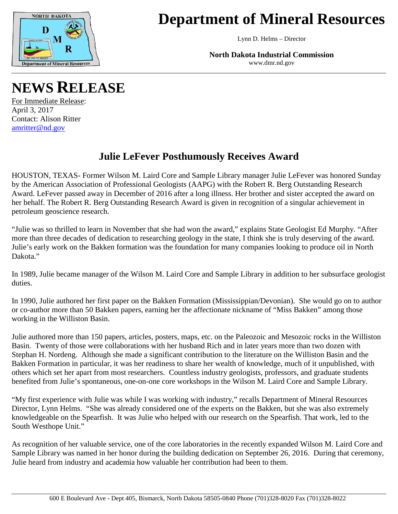

## **Department of Mineral Resources**

Lynn D. Helms – Director

**North Dakota Industrial Commission** www.dmr.nd.gov

## **NEWS RELEASE**

For Immediate Release: April 3, 2017 Contact: Alison Ritter [amritter@nd.gov](mailto:amritter@nd.gov)

## **Julie LeFever Posthumously Receives Award**

HOUSTON, TEXAS- Former Wilson M. Laird Core and Sample Library manager Julie LeFever was honored Sunday by the American Association of Professional Geologists (AAPG) with the Robert R. Berg Outstanding Research Award. LeFever passed away in December of 2016 after a long illness. Her brother and sister accepted the award on her behalf. The Robert R. Berg Outstanding Research Award is given in recognition of a singular achievement in petroleum geoscience research.

"Julie was so thrilled to learn in November that she had won the award," explains State Geologist Ed Murphy. "After more than three decades of dedication to researching geology in the state, I think she is truly deserving of the award. Julie's early work on the Bakken formation was the foundation for many companies looking to produce oil in North Dakota."

In 1989, Julie became manager of the Wilson M. Laird Core and Sample Library in addition to her subsurface geologist duties.

In 1990, Julie authored her first paper on the Bakken Formation (Mississippian/Devonian). She would go on to author or co-author more than 50 Bakken papers, earning her the affectionate nickname of "Miss Bakken" among those working in the Williston Basin.

Julie authored more than 150 papers, articles, posters, maps, etc. on the Paleozoic and Mesozoic rocks in the Williston Basin. Twenty of those were collaborations with her husband Rich and in later years more than two dozen with Stephan H. Nordeng. Although she made a significant contribution to the literature on the Williston Basin and the Bakken Formation in particular, it was her readiness to share her wealth of knowledge, much of it unpublished, with others which set her apart from most researchers. Countless industry geologists, professors, and graduate students benefited from Julie's spontaneous, one-on-one core workshops in the Wilson M. Laird Core and Sample Library.

"My first experience with Julie was while I was working with industry," recalls Department of Mineral Resources Director, Lynn Helms. "She was already considered one of the experts on the Bakken, but she was also extremely knowledgeable on the Spearfish. It was Julie who helped with our research on the Spearfish. That work, led to the South Westhope Unit."

As recognition of her valuable service, one of the core laboratories in the recently expanded Wilson M. Laird Core and Sample Library was named in her honor during the building dedication on September 26, 2016. During that ceremony, Julie heard from industry and academia how valuable her contribution had been to them.